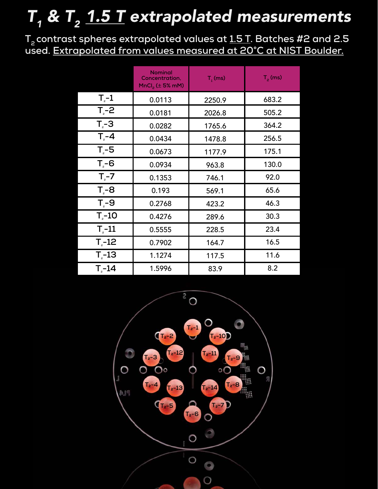## $T_{_1}$  &  $T_{_2}$  <u>1.5 T</u> extrapolated measurements

**T2 contrast spheres extrapolated values at 1.5 T. Batches #2 and 2.5 used. Extrapolated from values measured at 20°C at NIST Boulder.**

|                | <b>Nominal</b><br>Concentration,<br>$MnCl2$ ( $\pm$ 5% mM) | $T1$ (ms) | $T2$ (ms) |
|----------------|------------------------------------------------------------|-----------|-----------|
| $T_{\circ}$ -1 | 0.0113                                                     | 2250.9    | 683.2     |
| $T - 2$        | 0.0181                                                     | 2026.8    | 505.2     |
| $T - 3$        | 0.0282                                                     | 1765.6    | 364.2     |
| $T - 4$        | 0.0434                                                     | 1478.8    | 256.5     |
| $T - 5$        | 0.0673                                                     | 1177.9    | 175.1     |
| $T - 6$        | 0.0934                                                     | 963.8     | 130.0     |
| $T2-7$         | 0.1353                                                     | 746.1     | 92.0      |
| $T - 8$        | 0.193                                                      | 569.1     | 65.6      |
| $T - 9$        | 0.2768                                                     | 423.2     | 46.3      |
| $T - 10$       | 0.4276                                                     | 289.6     | 30.3      |
| $T - 11$       | 0.5555                                                     | 228.5     | 23.4      |
| $T - 12$       | 0.7902                                                     | 164.7     | 16.5      |
| $T - 13$       | 1.1274                                                     | 117.5     | 11.6      |
| $T - 14$       | 1.5996                                                     | 83.9      | 8.2       |